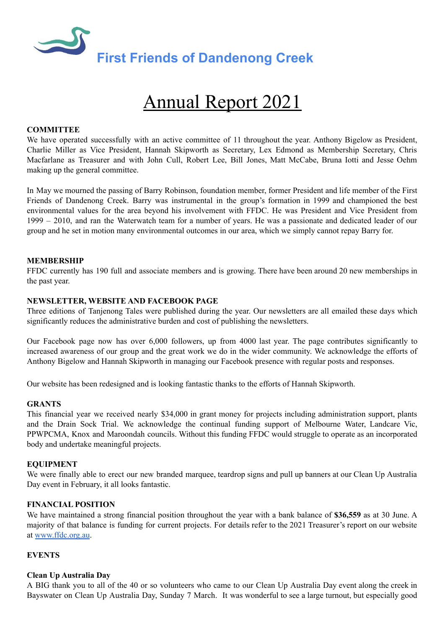

# Annual Report 2021

# **COMMITTEE**

We have operated successfully with an active committee of 11 throughout the year. Anthony Bigelow as President, Charlie Miller as Vice President, Hannah Skipworth as Secretary, Lex Edmond as Membership Secretary, Chris Macfarlane as Treasurer and with John Cull, Robert Lee, Bill Jones, Matt McCabe, Bruna Iotti and Jesse Oehm making up the general committee.

In May we mourned the passing of Barry Robinson, foundation member, former President and life member of the First Friends of Dandenong Creek. Barry was instrumental in the group's formation in 1999 and championed the best environmental values for the area beyond his involvement with FFDC. He was President and Vice President from 1999 – 2010, and ran the Waterwatch team for a number of years. He was a passionate and dedicated leader of our group and he set in motion many environmental outcomes in our area, which we simply cannot repay Barry for.

## **MEMBERSHIP**

FFDC currently has 190 full and associate members and is growing. There have been around 20 new memberships in the past year.

## **NEWSLETTER, WEBSITE AND FACEBOOK PAGE**

Three editions of Tanjenong Tales were published during the year. Our newsletters are all emailed these days which significantly reduces the administrative burden and cost of publishing the newsletters.

Our Facebook page now has over 6,000 followers, up from 4000 last year. The page contributes significantly to increased awareness of our group and the great work we do in the wider community. We acknowledge the efforts of Anthony Bigelow and Hannah Skipworth in managing our Facebook presence with regular posts and responses.

Our website has been redesigned and is looking fantastic thanks to the efforts of Hannah Skipworth.

#### **GRANTS**

This financial year we received nearly \$34,000 in grant money for projects including administration support, plants and the Drain Sock Trial. We acknowledge the continual funding support of Melbourne Water, Landcare Vic, PPWPCMA, Knox and Maroondah councils. Without this funding FFDC would struggle to operate as an incorporated body and undertake meaningful projects.

#### **EQUIPMENT**

We were finally able to erect our new branded marquee, teardrop signs and pull up banners at our Clean Up Australia Day event in February, it all looks fantastic.

#### **FINANCIAL POSITION**

We have maintained a strong financial position throughout the year with a bank balance of **\$36,559** as at 30 June. A majority of that balance is funding for current projects. For details refer to the 2021 Treasurer's report on our website at [www.ffdc.org.au](http://www.ffdc.org.au).

## **EVENTS**

#### **Clean Up Australia Day**

A BIG thank you to all of the 40 or so volunteers who came to our Clean Up Australia Day event along the creek in Bayswater on Clean Up Australia Day, Sunday 7 March. It was wonderful to see a large turnout, but especially good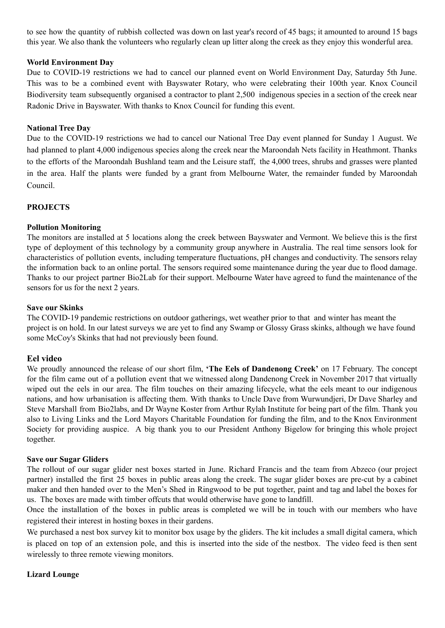to see how the quantity of rubbish collected was down on last year's record of 45 bags; it amounted to around 15 bags this year. We also thank the volunteers who regularly clean up litter along the creek as they enjoy this wonderful area.

# **World Environment Day**

Due to COVID-19 restrictions we had to cancel our planned event on World Environment Day, Saturday 5th June. This was to be a combined event with Bayswater Rotary, who were celebrating their 100th year. Knox Council Biodiversity team subsequently organised a contractor to plant 2,500 indigenous species in a section of the creek near Radonic Drive in Bayswater. With thanks to Knox Council for funding this event.

# **National Tree Day**

Due to the COVID-19 restrictions we had to cancel our National Tree Day event planned for Sunday 1 August. We had planned to plant 4,000 indigenous species along the creek near the Maroondah Nets facility in Heathmont. Thanks to the efforts of the Maroondah Bushland team and the Leisure staff, the 4,000 trees, shrubs and grasses were planted in the area. Half the plants were funded by a grant from Melbourne Water, the remainder funded by Maroondah Council.

# **PROJECTS**

# **Pollution Monitoring**

The monitors are installed at 5 locations along the creek between Bayswater and Vermont. We believe this is the first type of deployment of this technology by a community group anywhere in Australia. The real time sensors look for characteristics of pollution events, including temperature fluctuations, pH changes and conductivity. The sensors relay the information back to an online portal. The sensors required some maintenance during the year due to flood damage. Thanks to our project partner Bio2Lab for their support. Melbourne Water have agreed to fund the maintenance of the sensors for us for the next 2 years.

## **Save our Skinks**

The COVID-19 pandemic restrictions on outdoor gatherings, wet weather prior to that and winter has meant the project is on hold. In our latest surveys we are yet to find any Swamp or Glossy Grass skinks, although we have found some McCoy's Skinks that had not previously been found.

# **Eel video**

We proudly announced the release of our short film, **'The Eels of Dandenong Creek'** on 17 February. The concept for the film came out of a pollution event that we witnessed along Dandenong Creek in November 2017 that virtually wiped out the eels in our area. The film touches on their amazing lifecycle, what the eels meant to our indigenous nations, and how urbanisation is affecting them. With thanks to Uncle Dave from Wurwundjeri, Dr Dave Sharley and Steve Marshall from Bio2labs, and Dr Wayne Koster from Arthur Rylah Institute for being part of the film. Thank you also to Living Links and the Lord Mayors Charitable Foundation for funding the film, and to the Knox Environment Society for providing auspice. A big thank you to our President Anthony Bigelow for bringing this whole project together.

## **Save our Sugar Gliders**

The rollout of our sugar glider nest boxes started in June. Richard Francis and the team from Abzeco (our project partner) installed the first 25 boxes in public areas along the creek. The sugar glider boxes are pre-cut by a cabinet maker and then handed over to the Men's Shed in Ringwood to be put together, paint and tag and label the boxes for us. The boxes are made with timber offcuts that would otherwise have gone to landfill.

Once the installation of the boxes in public areas is completed we will be in touch with our members who have registered their interest in hosting boxes in their gardens.

We purchased a nest box survey kit to monitor box usage by the gliders. The kit includes a small digital camera, which is placed on top of an extension pole, and this is inserted into the side of the nestbox. The video feed is then sent wirelessly to three remote viewing monitors.

## **Lizard Lounge**